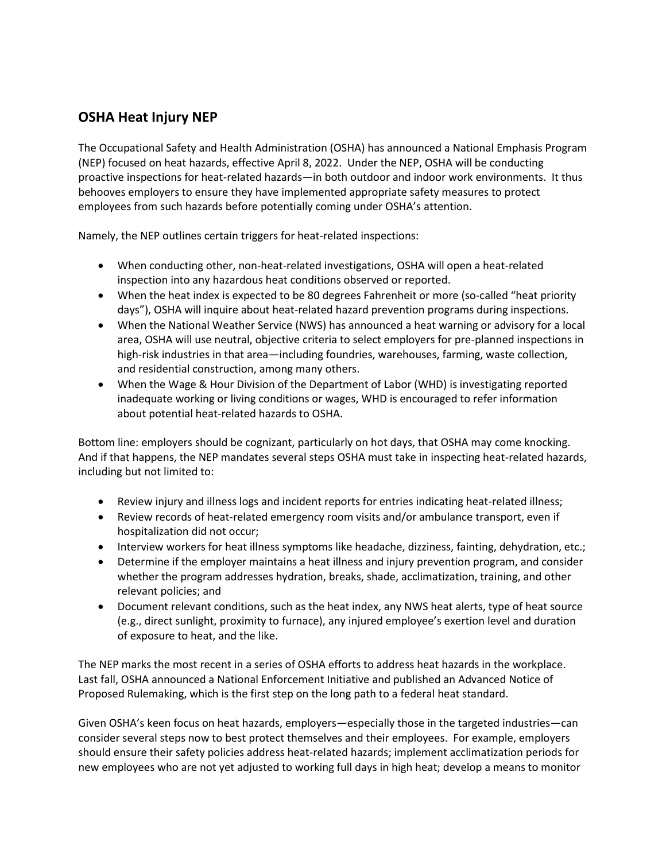## **OSHA Heat Injury NEP**

The Occupational Safety and Health Administration (OSHA) has announced a National Emphasis Program (NEP) focused on heat hazards, effective April 8, 2022. Under the NEP, OSHA will be conducting proactive inspections for heat-related hazards—in both outdoor and indoor work environments. It thus behooves employers to ensure they have implemented appropriate safety measures to protect employees from such hazards before potentially coming under OSHA's attention.

Namely, the NEP outlines certain triggers for heat-related inspections:

- When conducting other, non-heat-related investigations, OSHA will open a heat-related inspection into any hazardous heat conditions observed or reported.
- When the heat index is expected to be 80 degrees Fahrenheit or more (so-called "heat priority days"), OSHA will inquire about heat-related hazard prevention programs during inspections.
- When the National Weather Service (NWS) has announced a heat warning or advisory for a local area, OSHA will use neutral, objective criteria to select employers for pre-planned inspections in high-risk industries in that area—including foundries, warehouses, farming, waste collection, and residential construction, among many others.
- When the Wage & Hour Division of the Department of Labor (WHD) is investigating reported inadequate working or living conditions or wages, WHD is encouraged to refer information about potential heat-related hazards to OSHA.

Bottom line: employers should be cognizant, particularly on hot days, that OSHA may come knocking. And if that happens, the NEP mandates several steps OSHA must take in inspecting heat-related hazards, including but not limited to:

- Review injury and illness logs and incident reports for entries indicating heat-related illness;
- Review records of heat-related emergency room visits and/or ambulance transport, even if hospitalization did not occur;
- Interview workers for heat illness symptoms like headache, dizziness, fainting, dehydration, etc.;
- Determine if the employer maintains a heat illness and injury prevention program, and consider whether the program addresses hydration, breaks, shade, acclimatization, training, and other relevant policies; and
- Document relevant conditions, such as the heat index, any NWS heat alerts, type of heat source (e.g., direct sunlight, proximity to furnace), any injured employee's exertion level and duration of exposure to heat, and the like.

The NEP marks the most recent in a series of OSHA efforts to address heat hazards in the workplace. Last fall, OSHA announced a National Enforcement Initiative and published an Advanced Notice of Proposed Rulemaking, which is the first step on the long path to a federal heat standard.

Given OSHA's keen focus on heat hazards, employers—especially those in the targeted industries—can consider several steps now to best protect themselves and their employees. For example, employers should ensure their safety policies address heat-related hazards; implement acclimatization periods for new employees who are not yet adjusted to working full days in high heat; develop a means to monitor